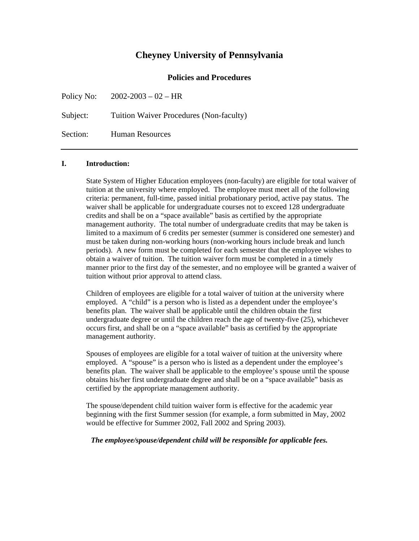## **Cheyney University of Pennsylvania**

### **Policies and Procedures**

Policy No: 2002-2003 – 02 – HR Subject: Tuition Waiver Procedures (Non-faculty) Section: Human Resources

#### **I. Introduction:**

State System of Higher Education employees (non-faculty) are eligible for total waiver of tuition at the university where employed. The employee must meet all of the following criteria: permanent, full-time, passed initial probationary period, active pay status. The waiver shall be applicable for undergraduate courses not to exceed 128 undergraduate credits and shall be on a "space available" basis as certified by the appropriate management authority. The total number of undergraduate credits that may be taken is limited to a maximum of 6 credits per semester (summer is considered one semester) and must be taken during non-working hours (non-working hours include break and lunch periods). A new form must be completed for each semester that the employee wishes to obtain a waiver of tuition. The tuition waiver form must be completed in a timely manner prior to the first day of the semester, and no employee will be granted a waiver of tuition without prior approval to attend class.

Children of employees are eligible for a total waiver of tuition at the university where employed. A "child" is a person who is listed as a dependent under the employee's benefits plan. The waiver shall be applicable until the children obtain the first undergraduate degree or until the children reach the age of twenty-five (25), whichever occurs first, and shall be on a "space available" basis as certified by the appropriate management authority.

Spouses of employees are eligible for a total waiver of tuition at the university where employed. A "spouse" is a person who is listed as a dependent under the employee's benefits plan. The waiver shall be applicable to the employee's spouse until the spouse obtains his/her first undergraduate degree and shall be on a "space available" basis as certified by the appropriate management authority.

The spouse/dependent child tuition waiver form is effective for the academic year beginning with the first Summer session (for example, a form submitted in May, 2002 would be effective for Summer 2002, Fall 2002 and Spring 2003).

#### *The employee/spouse/dependent child will be responsible for applicable fees.*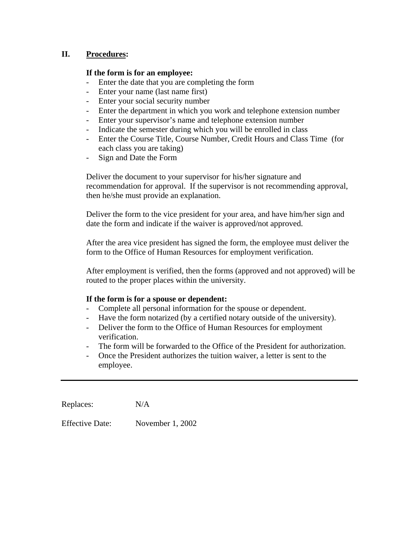## **II. Procedures:**

## **If the form is for an employee:**

- Enter the date that you are completing the form
- Enter your name (last name first)
- Enter your social security number
- Enter the department in which you work and telephone extension number
- Enter your supervisor's name and telephone extension number
- Indicate the semester during which you will be enrolled in class
- Enter the Course Title, Course Number, Credit Hours and Class Time (for each class you are taking)
- Sign and Date the Form

Deliver the document to your supervisor for his/her signature and recommendation for approval. If the supervisor is not recommending approval, then he/she must provide an explanation.

Deliver the form to the vice president for your area, and have him/her sign and date the form and indicate if the waiver is approved/not approved.

After the area vice president has signed the form, the employee must deliver the form to the Office of Human Resources for employment verification.

After employment is verified, then the forms (approved and not approved) will be routed to the proper places within the university.

#### **If the form is for a spouse or dependent:**

- Complete all personal information for the spouse or dependent.
- Have the form notarized (by a certified notary outside of the university).
- Deliver the form to the Office of Human Resources for employment verification.
- The form will be forwarded to the Office of the President for authorization.
- Once the President authorizes the tuition waiver, a letter is sent to the employee.

Replaces:  $N/A$ 

Effective Date: November 1, 2002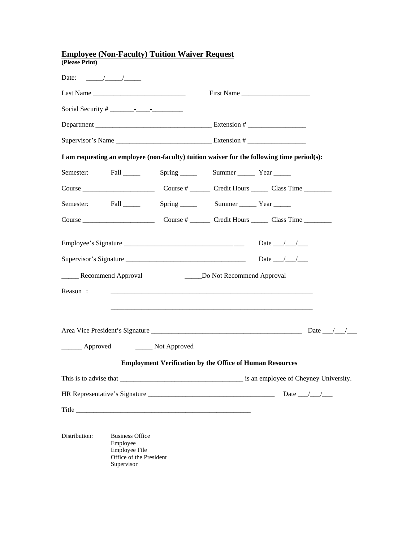| <b>Employee (Non-Faculty) Tuition Waiver Request</b> |                                                                           |                                                                                            |                                 |                              |  |  |  |  |
|------------------------------------------------------|---------------------------------------------------------------------------|--------------------------------------------------------------------------------------------|---------------------------------|------------------------------|--|--|--|--|
| (Please Print)                                       |                                                                           |                                                                                            |                                 |                              |  |  |  |  |
|                                                      |                                                                           |                                                                                            |                                 |                              |  |  |  |  |
|                                                      |                                                                           |                                                                                            |                                 | First Name                   |  |  |  |  |
|                                                      |                                                                           |                                                                                            |                                 |                              |  |  |  |  |
|                                                      |                                                                           |                                                                                            |                                 |                              |  |  |  |  |
|                                                      |                                                                           |                                                                                            |                                 |                              |  |  |  |  |
|                                                      |                                                                           | I am requesting an employee (non-faculty) tuition waiver for the following time period(s): |                                 |                              |  |  |  |  |
| Semester:                                            |                                                                           | Fall Spring Summer Year                                                                    |                                 |                              |  |  |  |  |
|                                                      |                                                                           |                                                                                            |                                 |                              |  |  |  |  |
| Semester:                                            |                                                                           | Fall Spring Summer Year                                                                    |                                 |                              |  |  |  |  |
|                                                      |                                                                           |                                                                                            |                                 |                              |  |  |  |  |
|                                                      |                                                                           |                                                                                            |                                 | Date $\_\_\_\_\_\_\_\_\_\_\$ |  |  |  |  |
|                                                      |                                                                           |                                                                                            |                                 | Date $\_\_\_\_\_\_\_\_\_\$   |  |  |  |  |
| _______ Recommend Approval                           |                                                                           |                                                                                            | ______Do Not Recommend Approval |                              |  |  |  |  |
| Reason:                                              |                                                                           |                                                                                            |                                 |                              |  |  |  |  |
|                                                      |                                                                           |                                                                                            |                                 |                              |  |  |  |  |
|                                                      |                                                                           |                                                                                            |                                 |                              |  |  |  |  |
|                                                      |                                                                           |                                                                                            |                                 |                              |  |  |  |  |
| Approved Not Approved                                |                                                                           |                                                                                            |                                 |                              |  |  |  |  |
|                                                      |                                                                           | <b>Employment Verification by the Office of Human Resources</b>                            |                                 |                              |  |  |  |  |
|                                                      |                                                                           |                                                                                            |                                 |                              |  |  |  |  |
|                                                      |                                                                           |                                                                                            |                                 |                              |  |  |  |  |
|                                                      |                                                                           |                                                                                            |                                 |                              |  |  |  |  |
|                                                      |                                                                           |                                                                                            |                                 |                              |  |  |  |  |
| Distribution:                                        | <b>Business Office</b><br>Employee<br>$F_{\text{mnlovee}} F_{\text{ilq}}$ |                                                                                            |                                 |                              |  |  |  |  |

Employee File Office of the President Supervisor